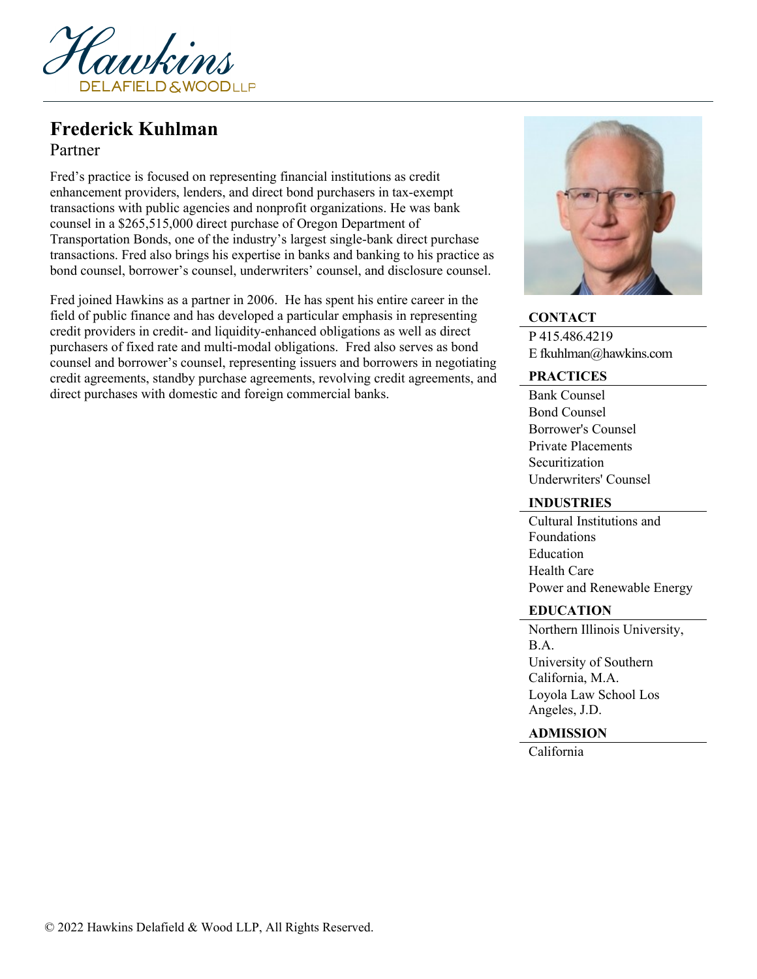

# **Frederick Kuhlman**

# Partner

Fred's practice is focused on representing financial institutions as credit enhancement providers, lenders, and direct bond purchasers in tax-exempt transactions with public agencies and nonprofit organizations. He was bank counsel in a \$265,515,000 direct purchase of Oregon Department of Transportation Bonds, one of the industry's largest single-bank direct purchase transactions. Fred also brings his expertise in banks and banking to his practice as bond counsel, borrower's counsel, underwriters' counsel, and disclosure counsel.

Fred joined Hawkins as a partner in 2006. He has spent his entire career in the field of public finance and has developed a particular emphasis in representing credit providers in credit- and liquidity-enhanced obligations as well as direct purchasers of fixed rate and multi-modal obligations. Fred also serves as bond counsel and borrower's counsel, representing issuers and borrowers in negotiating credit agreements, standby purchase agreements, revolving credit agreements, and direct purchases with domestic and foreign commercial banks.



### **CONTACT**

P 415.486.4219 E fkuhlman@hawkins.com

#### **PRACTICES**

Bank Counsel Bond Counsel Borrower's Counsel Private Placements Securitization Underwriters' Counsel

#### **INDUSTRIES**

Cultural Institutions and Foundations **Education** Health Care Power and Renewable Energy

#### **EDUCATION**

Northern Illinois University, B.A. University of Southern California, M.A. Loyola Law School Los Angeles, J.D.

## **ADMISSION**

California